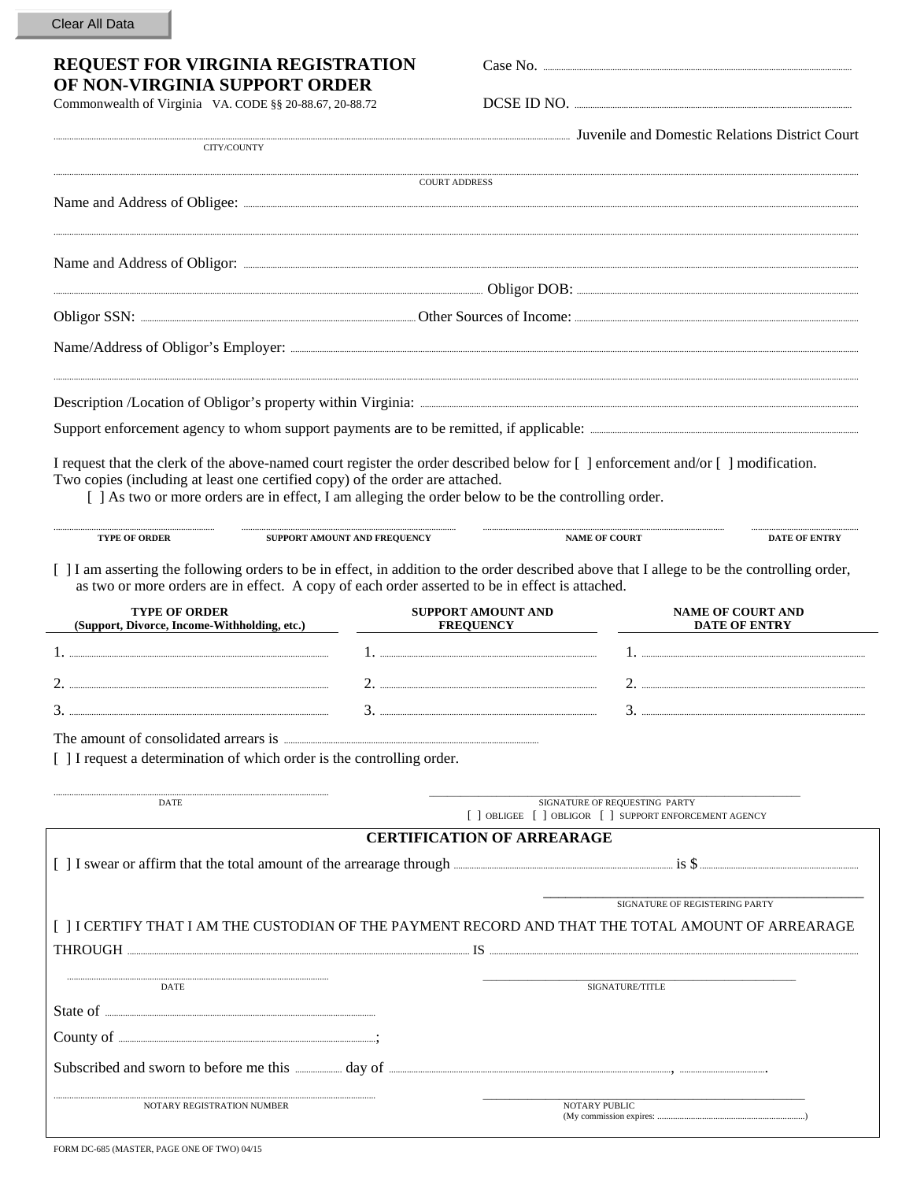| Clear All Data |  |  |
|----------------|--|--|
|----------------|--|--|

## REQUEST FOR VIRGINIA REGISTRATION OF NON-VIRGINIA SUPPORT ORDER

Commonwealth of Virginia VA. CODE §§ 20-88.67, 20-88.72

Case No. .....

DCSE ID NO.

**Invenile and Domestic Relations District Court** 

| CITY/COUNTY                                                                                                                                                                                                                                                                                                               |                                               |                                                                                         | Juvenne and Domestic Relations District Court    |
|---------------------------------------------------------------------------------------------------------------------------------------------------------------------------------------------------------------------------------------------------------------------------------------------------------------------------|-----------------------------------------------|-----------------------------------------------------------------------------------------|--------------------------------------------------|
|                                                                                                                                                                                                                                                                                                                           | <b>COURT ADDRESS</b>                          |                                                                                         |                                                  |
|                                                                                                                                                                                                                                                                                                                           |                                               |                                                                                         |                                                  |
|                                                                                                                                                                                                                                                                                                                           |                                               |                                                                                         |                                                  |
|                                                                                                                                                                                                                                                                                                                           |                                               |                                                                                         |                                                  |
|                                                                                                                                                                                                                                                                                                                           |                                               |                                                                                         |                                                  |
|                                                                                                                                                                                                                                                                                                                           |                                               |                                                                                         |                                                  |
|                                                                                                                                                                                                                                                                                                                           |                                               |                                                                                         |                                                  |
| I request that the clerk of the above-named court register the order described below for [ ] enforcement and/or [ ] modification.<br>Two copies (including at least one certified copy) of the order are attached.<br>[ ] As two or more orders are in effect, I am alleging the order below to be the controlling order. |                                               |                                                                                         |                                                  |
| <b>TYPE OF ORDER</b>                                                                                                                                                                                                                                                                                                      | SUPPORT AMOUNT AND FREQUENCY                  | <b>NAME OF COURT</b>                                                                    | <b>DATE OF ENTRY</b>                             |
| [ ] I am asserting the following orders to be in effect, in addition to the order described above that I allege to be the controlling order,<br>as two or more orders are in effect. A copy of each order asserted to be in effect is attached.<br><b>TYPE OF ORDER</b><br>(Support, Divorce, Income-Withholding, etc.)   | <b>SUPPORT AMOUNT AND</b><br><b>FREQUENCY</b> |                                                                                         | <b>NAME OF COURT AND</b><br><b>DATE OF ENTRY</b> |
|                                                                                                                                                                                                                                                                                                                           |                                               |                                                                                         |                                                  |
|                                                                                                                                                                                                                                                                                                                           |                                               |                                                                                         |                                                  |
|                                                                                                                                                                                                                                                                                                                           |                                               |                                                                                         |                                                  |
|                                                                                                                                                                                                                                                                                                                           |                                               |                                                                                         |                                                  |
| [ ] I request a determination of which order is the controlling order.                                                                                                                                                                                                                                                    |                                               |                                                                                         |                                                  |
| DATE                                                                                                                                                                                                                                                                                                                      |                                               | SIGNATURE OF REOUESTING PARTY<br>[ ] OBLIGEE [ ] OBLIGOR [ ] SUPPORT ENFORCEMENT AGENCY |                                                  |
|                                                                                                                                                                                                                                                                                                                           |                                               | <b>CERTIFICATION OF ARREARAGE</b>                                                       |                                                  |
|                                                                                                                                                                                                                                                                                                                           |                                               |                                                                                         |                                                  |
|                                                                                                                                                                                                                                                                                                                           |                                               | SIGNATURE OF REGISTERING PARTY                                                          |                                                  |
| [ ] I CERTIFY THAT I AM THE CUSTODIAN OF THE PAYMENT RECORD AND THAT THE TOTAL AMOUNT OF ARREARAGE                                                                                                                                                                                                                        |                                               |                                                                                         |                                                  |
| THROUGH Experimental and the state of the state of the state of the state of the state of the state of the state of the state of the state of the state of the state of the state of the state of the state of the state of th                                                                                            |                                               |                                                                                         |                                                  |
| DATE                                                                                                                                                                                                                                                                                                                      |                                               | SIGNATURE/TITLE                                                                         |                                                  |
|                                                                                                                                                                                                                                                                                                                           |                                               |                                                                                         |                                                  |
|                                                                                                                                                                                                                                                                                                                           |                                               |                                                                                         |                                                  |
|                                                                                                                                                                                                                                                                                                                           |                                               |                                                                                         |                                                  |
| NOTARY REGISTRATION NUMBER                                                                                                                                                                                                                                                                                                |                                               | NOTARY PUBLIC                                                                           |                                                  |

FORM DC-685 (MASTER, PAGE ONE OF TWO) 04/15